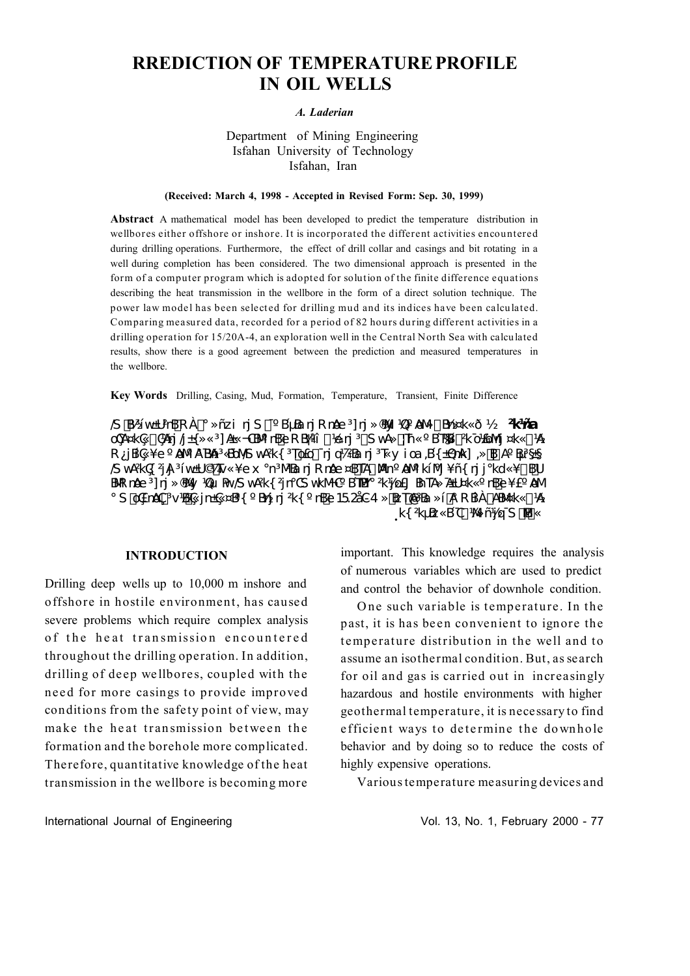# **RREDICTION OF TEMPERATURE PROFILE IN OIL WELLS**

#### A. Laderian

# Department of Mining Engineering Isfahan University of Technology Isfahan, Iran

#### (Received: March 4, 1998 - Accepted in Revised Form: Sep. 30, 1999)

Abstract A mathematical model has been developed to predict the temperature distribution in wellbores either offshore or inshore. It is incorporated the different activities encountered during drilling operations. Furthermore, the effect of drill collar and casings and bit rotating in a well during completion has been considered. The two dimensional approach is presented in the form of a computer program which is adopted for solution of the finite difference equations describing the heat transmission in the wellbore in the form of a direct solution technique. The power law model has been selected for drilling mud and its indices have been calculated. Comparing measured data, recorded for a period of 82 hours during different activities in a drilling operation for 15/20A-4, an exploration well in the Central North Sea with calculated results, show there is a good agreement between the prediction and measured temperatures in the wellbore.

Key Words Drilling, Casing, Mud, Formation, Temperature, Transient, Finite Difference

S \$P31 weUPBR A а » ñzi nj S % B L Ba nj R nge 3 nj » (9W) 102° A Wolt Brock « ð ½ **3K hña** OCA¤k@SCAPTj/H » «3] AH -OBVInB6oR BAI § 164 nj 3-S vA» %Th « ° BTABSX o1&0V1 ¤k « § 14 R jB @ ¥e º ANYIARBA 3 & DONS wAR { 3 To folo { nj q 72 R nj 3 Tk y i ca , B {  $\pm$  2 nk ], »  $\tilde{\textbf{M}}$  A º B  $\tilde{\textbf{B}}$  S  $\pm$ S WARG 3A <sup>3</sup> i wLU© % To x ° n 3N Ra nj R nae ¤BTAv MX n ° AN 9 ki Mj ¥ñ{ nj j ° kd «¥t BKb BUR note 3 1 ri » (SWA) 1201 PAVS WARK 3 n°CS WKMC BTLEAT 3 K) LOED BTTA BLUCK " TB6G FE AM  $\degree$  SŠOEnAC $\degree$ VBAG jn $\text{H}$ G¤B{ $\degree$ Bńz nj $\text{H}$ { $\degree$ nB6 $\text{o}$ 152åG4»ŠBrTAA $\text{H}$ a $\text{H}$ a RBA $\text{X}$ ABM $\text{k}$ «SJA k{ 2kµBz«BOS)%MñŸøTS'MSMx

#### **INTRODUCTION**

Drilling deep wells up to 10,000 m inshore and offshore in hostile environment, has caused severe problems which require complex analysis of the heat transmission encountered throughout the drilling operation. In addition, drilling of deep wellbores, coupled with the need for more casings to provide improved conditions from the safety point of view, may make the heat transmission between the formation and the borehole more complicated. Therefore, quantitative knowledge of the heat transmission in the wellbore is becoming more

important. This knowledge requires the analysis of numerous variables which are used to predict and control the behavior of downhole condition.

One such variable is temperature. In the past, it is has been convenient to ignore the temperature distribution in the well and to assume an isothermal condition. But, as search for oil and gas is carried out in increasingly hazardous and hostile environments with higher geothermal temperature, it is necessary to find efficient ways to determine the downhole behavior and by doing so to reduce the costs of highly expensive operations.

Various temperature measuring devices and

Vol. 13, No. 1, February 2000 - 77

International Journal of Engineering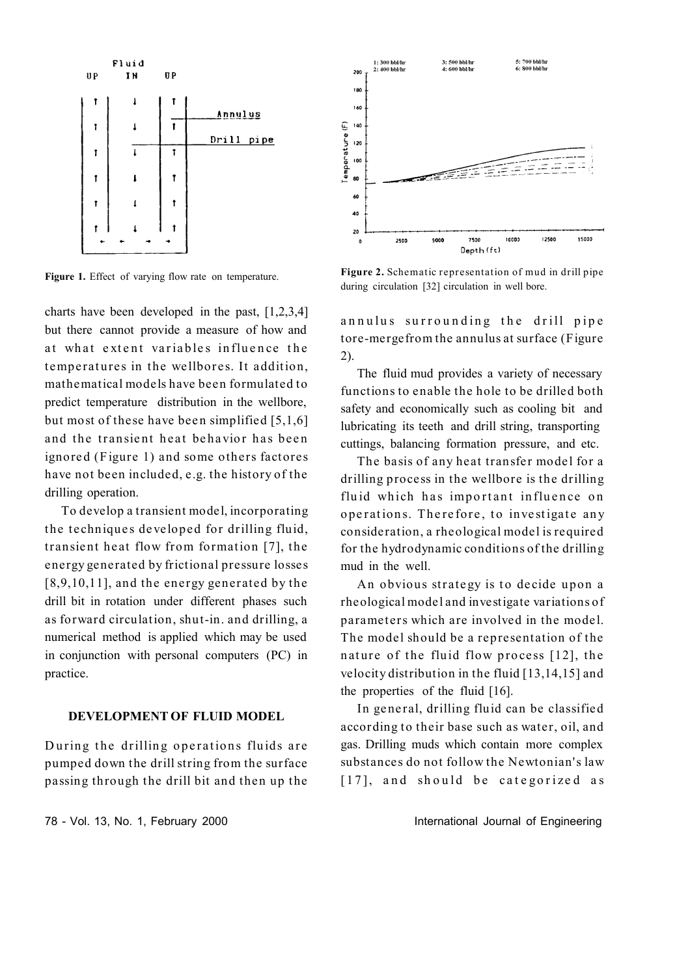

Figure 1. Effect of varying flow rate on temperature.

charts have been developed in the past, [1,2,3,4] but there cannot provide a measure of how and at what extent variables influence the temperatures in the wellbores. It addition, mathematical models have been formulated to predict temperature distribution in the wellbore, but most of these have been simplified  $[5,1,6]$ and the transient heat behavior has been ignored (Figure 1) and some others factores have not been included, e.g. the history of the drilling operation.

To develop a transient model, incorporating the techniques developed for drilling fluid, transient heat flow from formation  $[7]$ , the energy generated by frictional pressure losses [8,9,10,11], and the energy generated by the drill bit in rotation under different phases such as forward circulation, shut-in. and drilling, a numerical method is applied which may be used in conjunction with personal computers (PC) in practice.

## **DEVELOPMENT OF FLUID MODEL**

During the drilling operations fluids are pumped down the drill string from the surface passing through the drill bit and then up the



**Figure 2.** Schematic representation of mud in drill pipe during circulation [32] circulation in well bore.

annulus surrounding the drill pipe tore-merge from the annulus at surface (Figure 2).

The fluid mud provides a variety of necessary functions to enable the hole to be drilled both safety and economically such as cooling bit and lubricating its teeth and drill string, transporting cuttings, balancing formation pressure, and etc.

The basis of any heat transfer model for a drilling process in the wellbore is the drilling fluid which has important influence on operations. Therefore, to investigate any conside ration, a rheological model is required for the hydrodynamic conditions of the drilling mud in the well.

An obvious strategy is to decide upon a rheological model and investigate variations of parameters which are involved in the model. The model should be a representation of the nature of the fluid flow process  $[12]$ , the velocity distribution in the fluid  $[13,14,15]$  and the properties of the fluid [16].

In general, drilling fluid can be classified according to their base such as water, oil, and gas. Drilling muds which contain more complex substances do not follow the Newtonian's law [17], and should be categorized as

78 - Vol. 13, No. 1, February 2000 **International Journal of Engineering**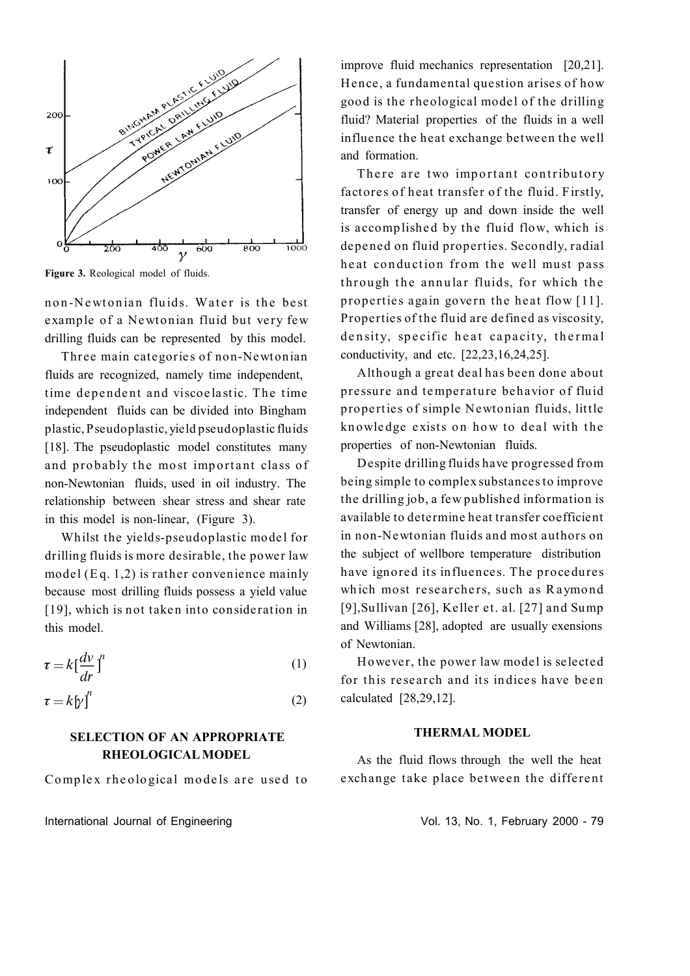

**Figure 3.** Reological model of fluids.

non-Newtonian fluids. Water is the best example of a Newtonian fluid but very few drilling fluids can be represented by this model.

Three main categories of non-Newtonian fluids are recognized, namely time independent, time dependent and viscoelastic. The time independent fluids can be divided into Bingham plastic, Pseudoplastic, yield pseudoplastic fluids [18]. The pseudoplastic model constitutes many and probably the most important class of non-Newtonian fluids, used in oil industry. The relationship between shear stress and shear rate in this model is non-linear, (Figure 3).

Whilst the yields-pseudoplastic model for drilling fluids is more desirable, the power law model (Eq. 1,2) is rather convenience mainly because most drilling fluids possess a yield value  $[19]$ , which is not taken into consideration in this model.

$$
\tau = k \left[ \frac{d\nu}{dr} \right]^n \tag{1}
$$

$$
\tau = k[\gamma']^n \tag{2}
$$

# **SELECTION OF AN APPROPRIATE RHEOLOGICALMODEL**

Complex rheological models are used to

International Journal of Engineering Theorem 2000 - 79 Vol. 13, No. 1, February 2000 - 79

improve fluid mechanics representation [20,21]. Hence, a fundamental question arises of how good is the rheological model of the drilling fluid? Material properties of the fluids in a well in fluence the heat exchange between the well and formation.

There are two important contributory factores of heat transfer of the fluid. Firstly, transfer of energy up and down inside the well is accomplished by the fluid flow, which is depened on fluid properties. Secondly, radial heat conduction from the well must pass through the annular fluids, for which the properties again govern the heat flow  $[11]$ . Properties of the fluid are defined as viscosity, density, specific heat capacity, thermal conductivity, and etc. [22,23,16,24,25].

Although a great deal has been done about pressure and temperature behavior of fluid properties of simple Newtonian fluids, little knowledge exists on how to deal with the properties of non-Newtonian fluids.

D espite drilling fluids have progressed from being simple to complex substances to improve the drilling job, a few published information is available to dete rmine heat transfer coefficient in non-Newtonian fluids and most authors on the subject of wellbore temperature distribution have ignored its influences. The procedures which most researchers, such as Raymond [9],Sullivan [26], Keller et. al. [27] and Sump and Williams [28], adopted are usually exensions of Newtonian.

However, the power law model is selected for this research and its indices have been calculated [28,29,12].

# **THERMAL MODEL**

As the fluid flows through the well the heat exchange take place between the different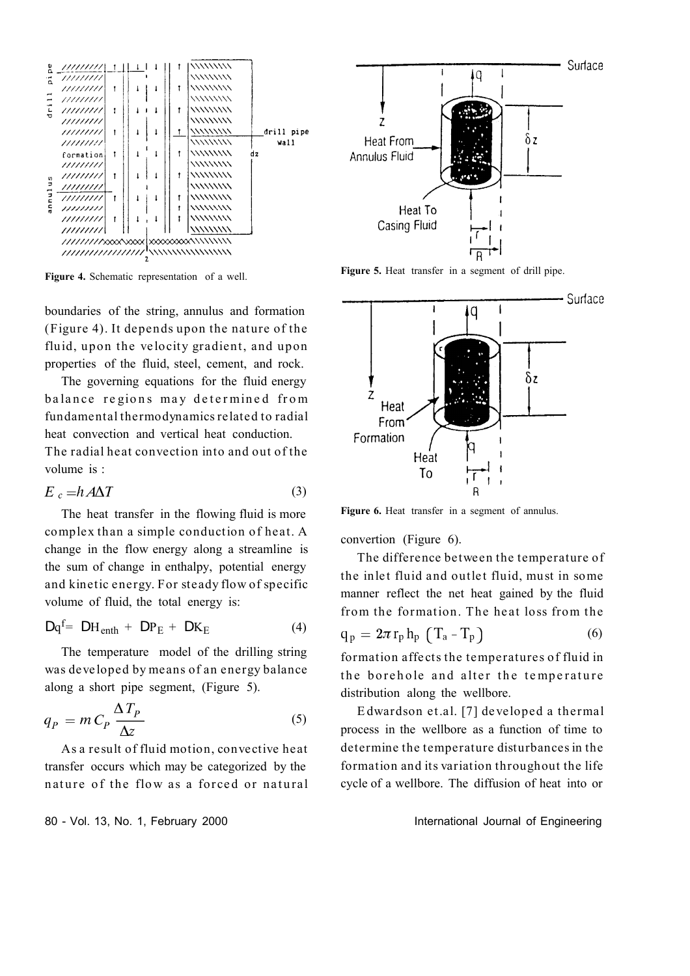

**Figure 4.** Schematic representation of a well.

boundaries of the string, annulus and formation (Figure 4). It depends upon the nature of the fluid, upon the velocity gradient, and upon properties of the fluid, steel, cement, and rock.

The governing equations for the fluid energy balance regions may determined from fundamental thermodynamics related to radial heat convection and vertical heat conduction. The radial heat convection into and out of the

volume is :

$$
E_c = h A \Delta T \tag{3}
$$

The heat transfer in the flowing fluid is more complex than a simple conduction of heat. A change in the flow energy along a streamline is the sum of change in enthalpy, potential energy and kinetic energy. For steady flow of specific volume of fluid, the total energy is:

$$
Dq^{f} = DH_{enth} + DP_{E} + DK_{E}
$$
 (4)

The temperature model of the drilling string was developed by means of an energy balance along a short pipe segment, (Figure 5).

$$
q_P = m C_P \frac{\Delta T_P}{\Delta z} \tag{5}
$$

As a result of fluid motion, convective heat transfer occurs which may be categorized by the nature of the flow as a forced or natural

80 - Vol. 13, No. 1, February 2000 **International Journal of Engineering** 



**Figure 5.** Heat transfer in a segment of drill pipe.



**Figure 6.** Heat transfer in a segment of annulus.

convertion (Figure 6).

The difference between the temperature of the inlet fluid and outlet fluid, must in some manner reflect the net heat gained by the fluid from the formation. The heat loss from the

$$
q_p = 2\pi r_p h_p (T_a - T_p)
$$
 (6)

formation affects the temperatures of fluid in the borehole and alter the temperature distribution along the wellbore.

E dwardson et.al. [7] de veloped a thermal process in the wellbore as a function of time to determine the temperature disturbances in the formation and its variation throughout the life cycle of a wellbore. The diffusion of heat into or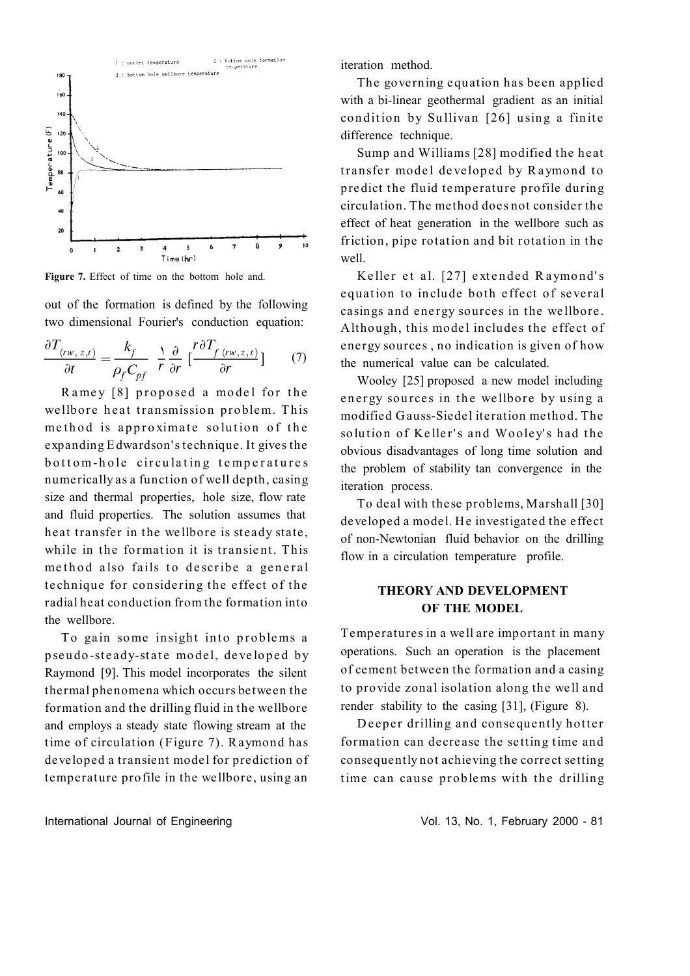

**Figure 7.** Effect of time on the bottom hole and.

out of the formation is defined by the following two dimensional Fourier's conduction equation:

$$
\frac{\partial T_{(rw,z,t)}}{\partial t} = \frac{k_f}{\rho_f C_{pf}} \frac{\partial}{r} \frac{\partial}{\partial r} \left[ \frac{r \partial T_{f(rw,z,t)}}{\partial r} \right] \tag{7}
$$

Ramey [8] proposed a model for the wellbore heat transmission problem. This me thod is approximate solution of the expanding E dwardson' s technique. It gives the bottom-hole circulating temperatures numerically as a function of well depth, casing size and thermal properties, hole size, flow rate and fluid properties. The solution assumes that heat transfer in the wellbore is steady state, while in the formation it is transient. This method also fails to describe a general technique for considering the effect of the radial heat conduction from the formation into the wellbore.

To gain some insight into problems a p seudo-steady-state model, developed by Raymond [9]. This model incorporates the silent thermal phenomena which occurs between the formation and the drilling fluid in the wellbore and employs a steady state flowing stream at the time of circulation (Figure 7). Raymond has developed a transient model for prediction of temperature profile in the wellbore, using an

iteration method.

The governing equation has been applied with a bi-linear geothermal gradient as an initial condition by Sullivan [26] using a finite difference technique.

Sump and Williams [28] modified the heat transfer model developed by Raymond to predict the fluid temperature profile during circulation. The method does not consider the effect of heat generation in the wellbore such as friction, pipe rotation and bit rotation in the well.

Keller et al. [27] extended Raymond's equation to include both effect of several casings and energy sources in the wellbore. Although, this model includes the effect of energy sources, no indication is given of how the numerical value can be calculated.

Wooley [25] proposed a new model including energy sources in the wellbore by using a modified Gauss-Siedel iteration method. The solution of Keller's and Wooley's had the obvious disadvantages of long time solution and the problem of stability tan convergence in the iteration process.

To deal with these problems, Marshall [30] developed a model. He investigated the effect of non-Newtonian fluid behavior on the drilling flow in a circulation temperature profile.

# **THEORY AND DEVELOPMENT OF THE MODEL**

Temperatures in a well are important in many operations. Such an operation is the placement of cement between the formation and a casing to provide zonal isolation along the well and render stability to the casing [31], (Figure 8).

Deeper drilling and consequently hotter formation can decrease the setting time and consequently not achieving the correct setting time can cause problems with the drilling

International Journal of Engineering Theorem 2000 - 81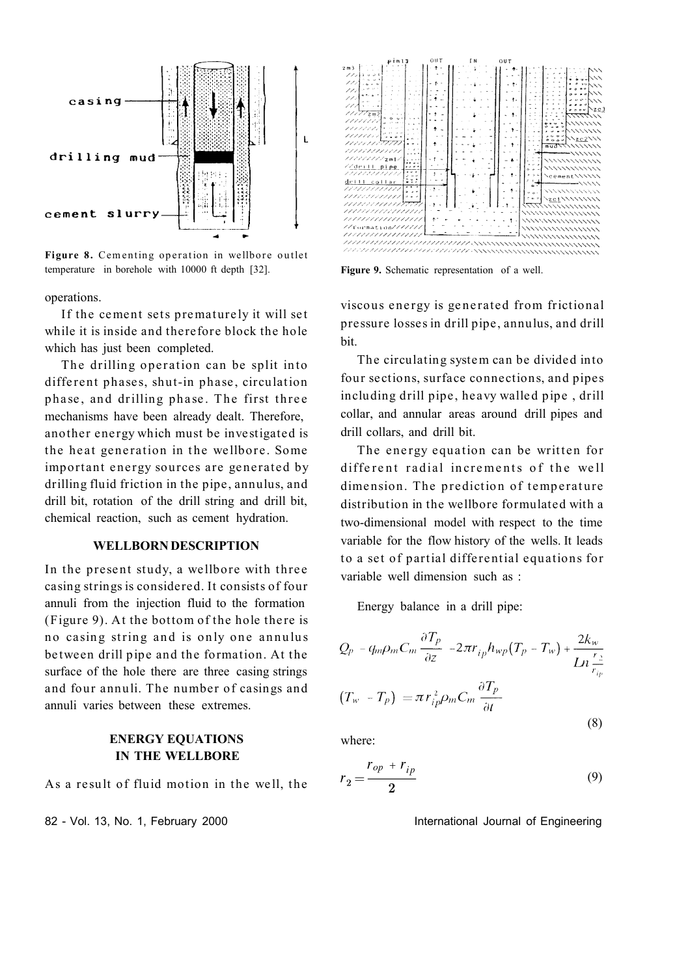

Figure 8. Cementing operation in wellbore outlet temperature in borehole with 10000 ft depth [32].

operations.

If the cement sets prematurely it will set while it is inside and therefore block the hole which has just been completed.

The drilling operation can be split into different phases, shut-in phase, circulation phase, and drilling phase. The first three mechanisms have been already dealt. Therefore, another energy which must be investigated is the heat generation in the wellbore. Some important energy sources are generated by drilling fluid friction in the pipe, annulus, and drill bit, rotation of the drill string and drill bit, chemical reaction, such as cement hydration.

#### **WELLBORN DESCRIPTION**

In the present study, a wellbore with three casing strings is considered. It consists of four annuli from the injection fluid to the formation  $(Figure 9)$ . At the bottom of the hole there is no casing string and is only one annulus between drill pipe and the formation. At the surface of the hole there are three casing strings and four annuli. The number of casings and annuli varies between these extremes.

# **ENERGY EQUATIONS IN THE WELLBORE**

As a result of fluid motion in the well, the

82 - Vol. 13, No. 1, February 2000 **International Journal of Engineering** 



**Figure 9.** Schematic representation of a well.

viscous energy is generated from frictional pressure losses in drill pipe, annulus, and drill bit.

The circulating system can be divided into four sections, surface connections, and pipes including drill pipe, heavy walled pipe, drill collar, and annular areas around drill pipes and drill collars, and drill bit.

The energy equation can be written for different radial increments of the well dimension. The prediction of temperature distribution in the wellbore formulated with a two-dimensional model with respect to the time variable for the flow history of the wells. It leads to a set of partial diffe rential equations for variable well dimension such as :

Energy balance in a drill pipe:

$$
Q_p - q_m \rho_m C_m \frac{\partial T_p}{\partial z} - 2\pi r_{ip} h_{wp} (T_p - T_w) + \frac{2k_w}{Ln \frac{r_2}{r_{ip}}}
$$

$$
(T_w - T_p) = \pi r_{ip}^2 \rho_m C_m \frac{\partial T_p}{\partial t}
$$
(8)

where:

$$
r_2 = \frac{r_{op} + r_{ip}}{2} \tag{9}
$$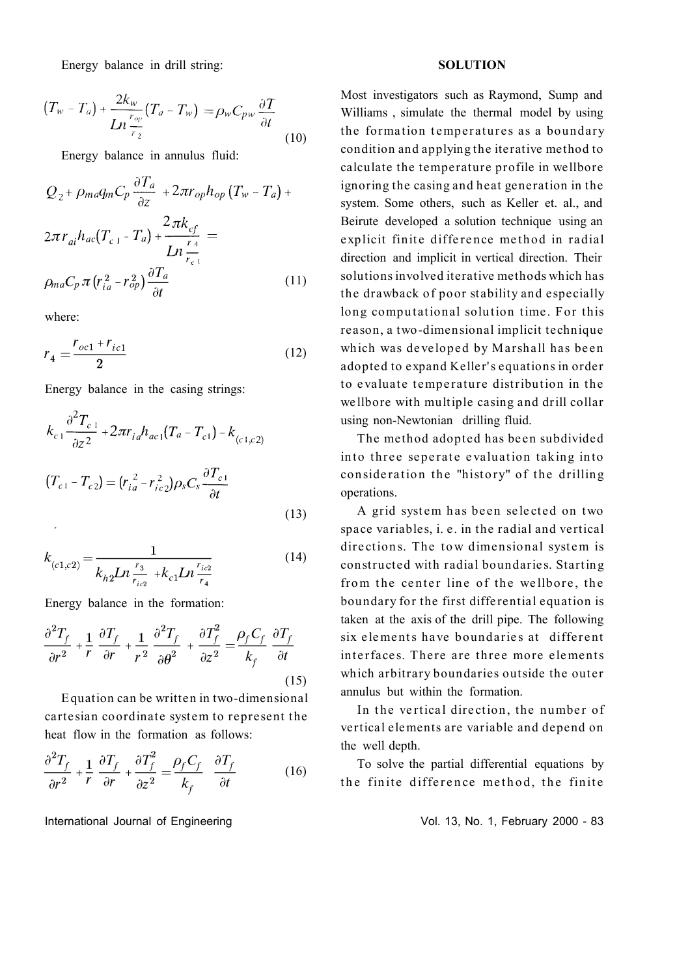Energy balance in drill string:

$$
(T_w - T_a) + \frac{2k_w}{Ln\frac{r_{op}}{r_2}}(T_a - T_w) = \rho_w C_{pw} \frac{\partial T}{\partial t}
$$
\n(10)

Energy balance in annulus fluid:

$$
Q_{2} + \rho_{ma}q_{m}C_{p} \frac{\partial T_{a}}{\partial z} + 2\pi r_{op}h_{op}(T_{w} - T_{a}) +
$$
  

$$
2\pi r_{ai}h_{ac}(T_{c1} - T_{a}) + \frac{2\pi k_{cf}}{Ln\frac{r_{4}}{r_{c1}}} =
$$
  

$$
\rho_{ma}C_{p}\pi(r_{ia}^{2} - r_{op}^{2})\frac{\partial T_{a}}{\partial t}
$$
 (11)

where:

where:

$$
r_4 = \frac{r_{oc1} + r_{ic1}}{2} \tag{12}
$$

Energy balance in the casing strings:

$$
k_{c1} \frac{\partial^2 T_{c1}}{\partial z^2} + 2\pi r_{ia} h_{ac1} (T_a - T_{c1}) - k_{(c1, c2)}
$$
  

$$
(T_{c1} - T_{c2}) = (r_{ia}^2 - r_{ic2}^2) \rho_s C_s \frac{\partial T_{c1}}{\partial t}
$$
 (13)

$$
k_{(c1,c2)} = \frac{1}{k_{h2}Ln\frac{r_3}{r_{ic2}} + k_{c1}Ln\frac{r_{ic2}}{r_4}}
$$
(14)

Energy balance in the formation:

$$
\frac{\partial^2 T_f}{\partial r^2} + \frac{1}{r} \frac{\partial T_f}{\partial r} + \frac{1}{r^2} \frac{\partial^2 T_f}{\partial \theta^2} + \frac{\partial T_f^2}{\partial z^2} = \frac{\rho_f C_f}{k_f} \frac{\partial T_f}{\partial t}
$$
\n(15)

E quation can be written in two-dimensional cartesian coordinate system to represent the heat flow in the formation as follows:

$$
\frac{\partial^2 T_f}{\partial r^2} + \frac{1}{r} \frac{\partial T_f}{\partial r} + \frac{\partial T_f^2}{\partial z^2} = \frac{\rho_f C_f}{k_f} \frac{\partial T_f}{\partial t}
$$
(16)

International Journal of Engineering Theorem 2000 - 83

#### **SOLUTION**

Most investigators such as Raymond, Sump and Williams , simulate the thermal model by using the formation temperatures as a boundary condition and applying the iterative method to calculate the temperature profile in wellbore ignoring the casing and heat generation in the system. Some others, such as Keller et. al., and Beirute developed a solution technique using an explicit finite difference method in radial direction and implicit in vertical direction. Their solutions involved iterative methods which has the drawback of poor stability and especially long computational solution time. For this rea son, a two -dimen sional implicit technique which was developed by Marshall has been adopted to expand Keller's equations in order to evaluate temperature distribution in the wellbore with multiple casing and drill collar using non-Newtonian drilling fluid.

The method adopted has been subdivided into three seperate evaluation taking into consideration the "history" of the drilling operations.

A grid system has been selected on two space variables, i. e. in the radial and vertical directions. The tow dimensional system is constructed with radial boundaries. Starting from the center line of the wellbore, the boundary for the first differential equation is taken at the axis of the drill pipe. The following six elements have boundaries at different interfaces. There are three more elements which arbitrary boundaries outside the outer annulus but within the formation.

In the vertical direction, the number of vertical elements are variable and depend on the well depth.

To solve the partial differential equations by the finite difference method, the finite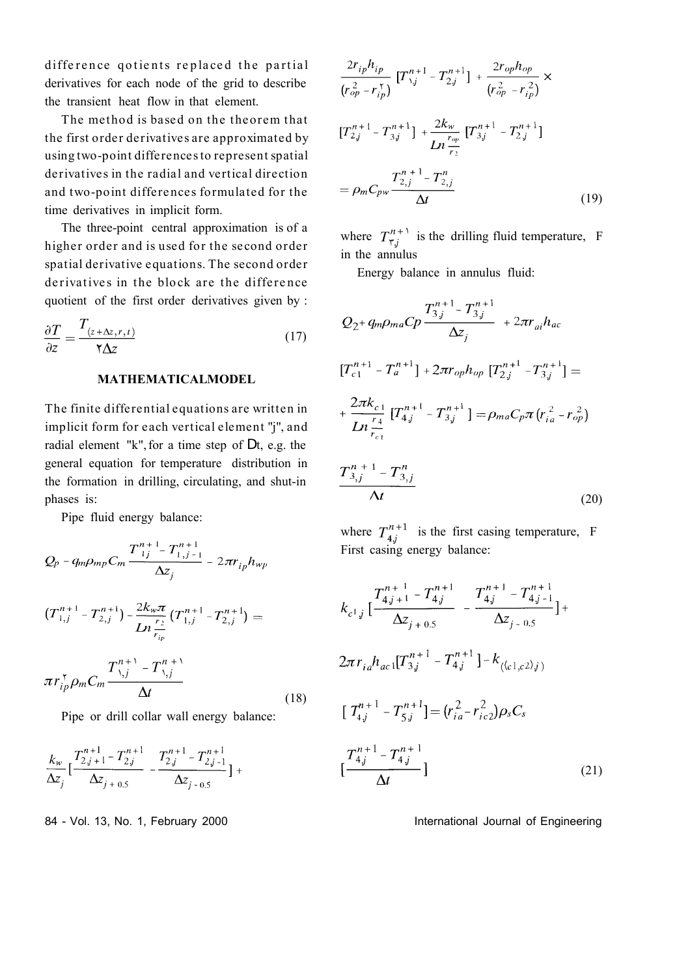difference gotients replaced the partial derivatives for each node of the grid to describe the transient heat flow in that element.

The method is based on the theorem that the first order derivatives are approximated by using two-point differences to represent spatial derivatives in the radial and vertical direction and two-point differences formulated for the time derivatives in implicit form.

The three-point central approximation is of a higher order and is used for the second order spatial derivative equations. The second order derivatives in the block are the difference quotient of the first order derivatives given by :

$$
\frac{\partial T}{\partial z} = \frac{T_{(z + \Delta z, r, t)}}{\gamma \Delta z} \tag{17}
$$

#### **MATHEMATICALMODEL**

The finite differential equations are written in implicit form for each vertical element "j", and radial element "k", for a time step of Dt, e.g. the general equation for temperature distribution in the formation in drilling, circulating, and shut-in phases is:

Pipe fluid energy balance:

$$
Q_{p} - q_{m}\rho_{mp}C_{m} \frac{T_{ij}^{n+1} - T_{1,j-1}^{n+1}}{\Delta z_{j}} - 2\pi r_{ip}h_{wp}
$$
  

$$
(T_{1,j}^{n+1} - T_{2,j}^{n+1}) - \frac{2k_{w}\pi}{Ln\frac{r_{2}}{r_{ip}}}(T_{1,j}^{n+1} - T_{2,j}^{n+1}) =
$$

$$
\pi r_{ip}^{\tau} \rho_{m}C_{m} \frac{T_{1,j}^{n+1} - T_{1,j}^{n+1}}{\Delta t}
$$
(18)

Pipe or drill collar wall energy balance:

$$
\frac{k_w}{\Delta z_j} \Big[ \frac{T_{2j+1}^{n+1} - T_{2j}^{n+1}}{\Delta z_{j+0.5}} - \frac{T_{2j}^{n+1} - T_{2j-1}^{n+1}}{\Delta z_{j-0.5}} \Big] +
$$

84 - Vol. 13, No. 1, February 2000 **International Journal of Engineering** 

$$
\frac{2r_{ip}h_{ip}}{(r_{op}^2 - r_{ip}^*)} \left[T_{\gamma_j}^{n+1} - T_{2j}^{n+1}\right] + \frac{2r_{op}h_{op}}{(r_{op}^2 - r_{ip}^2)} \times
$$
\n
$$
\left[T_{2j}^{n+1} - T_{3j}^{n+1}\right] + \frac{2k_w}{Ln\frac{r_{op}}{r_2}} \left[T_{3j}^{n+1} - T_{2j}^{n+1}\right]
$$
\n
$$
= \rho_m C_{pw} \frac{T_{2,j}^{n+1} - T_{2,j}^n}{\Delta t}
$$
\n(19)

where  $T^{n+1}_{\tau,j}$  is the drilling fluid temperature, F in the annulus

Energy balance in annulus fluid:

$$
Q_{2} + q_{m}\rho_{ma}Cp \frac{T_{3,j}^{n+1} - T_{3,j}^{n+1}}{\Delta z_{j}} + 2\pi r_{ai}h_{ac}
$$
  
\n
$$
[T_{c1}^{n+1} - T_{a}^{n+1}] + 2\pi r_{op}h_{op}[T_{2,j}^{n+1} - T_{3,j}^{n+1}] =
$$
  
\n
$$
+ \frac{2\pi k_{c1}}{Ln\frac{r_{4}}{r_{c1}}}[T_{4,j}^{n+1} - T_{3,j}^{n+1}] = \rho_{ma}C_{p}\pi(r_{ia}^{2} - r_{op}^{2})
$$
  
\n
$$
\frac{T_{3,j}^{n+1} - T_{3,j}^{n}}{\Delta t}
$$
 (20)

where  $T_{4j}^{n+1}$  is the first casing temperature, F First casing energy balance:

$$
k_{c^1 j} \left[ \frac{T_{4j+1}^{n+1} - T_{4j}^{n+1}}{\Delta z_{j+0.5}} - \frac{T_{4j}^{n+1} - T_{4j-1}^{n+1}}{\Delta z_{j-0.5}} \right] +
$$
  

$$
2\pi r_{ia} h_{ac} \left[ T_{3j}^{n+1} - T_{4j}^{n+1} \right] - k_{(\langle c^1, c^2 \rangle j)}
$$
  

$$
\left[ T_{4j}^{n+1} - T_{5j}^{n+1} \right] = (r_{ia}^2 - r_{ic}^2) \rho_s C_s
$$
  

$$
\left[ \frac{T_{4j}^{n+1} - T_{4j}^{n+1}}{\Delta t} \right]
$$
 (21)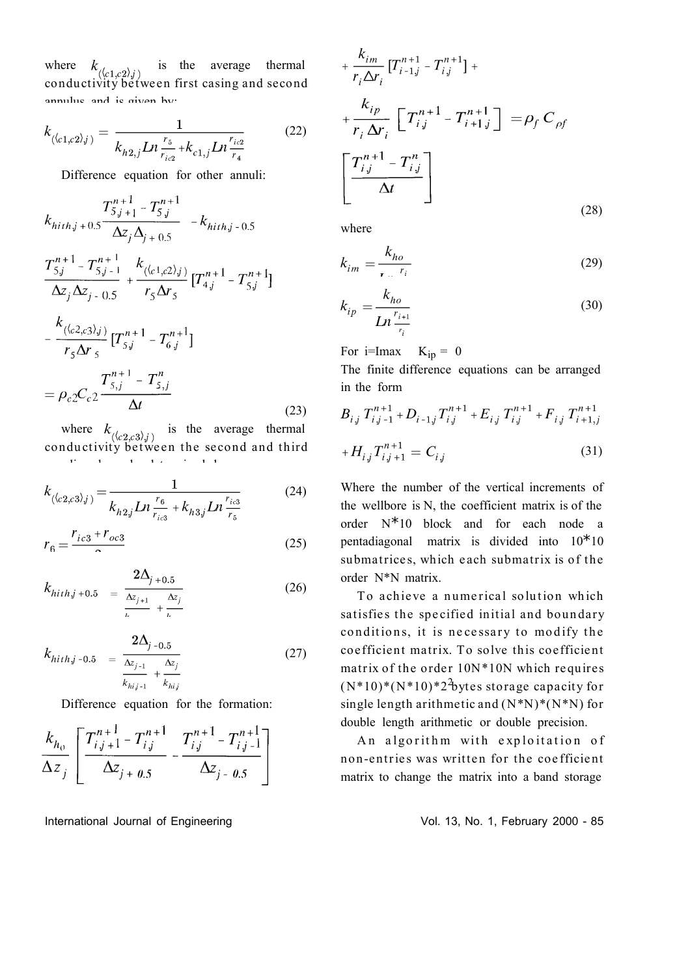where  $k_{(\langle c1,c2\rangle,j)}$  is the average thermal conductivity between first casing and second annulus and is given by:

$$
k_{(\langle c_1,c_2\rangle_j)} = \frac{1}{k_{h2,j}Ln\frac{r_5}{r_{ic2}} + k_{c1,j}Ln\frac{r_{ic2}}{r_4}}
$$
(22)

Difference equation for other annuli:

$$
k_{hithj+0.5} \frac{T_{5j+1}^{n+1} - T_{5j}^{n+1}}{\Delta z_j \Delta_{j+0.5}} - k_{hithj-0.5}
$$

$$
\frac{T_{5,j}^{n+1} - T_{5,j-1}^{n+1}}{\Delta z_j \Delta z_{j-0.5}} + \frac{k_{(\langle c_1,c_2 \rangle_j)}}{r_5 \Delta r_5} \left[T_{4,j}^{n+1} - T_{5,j}^{n+1}\right]
$$
\n
$$
-\frac{k_{(\langle c_2,c_3 \rangle_j)}}{r_5 \Delta r_5} \left[T_{5,j}^{n+1} - T_{6,j}^{n+1}\right]
$$
\n
$$
= \rho_{c2} C_{c2} \frac{T_{5,j}^{n+1} - T_{5,j}^n}{\Delta t}
$$
\n(23)

where  $k_{(\langle c2,c3\rangle j)}$  is the average thermal conductivity between the second and third annulli annulli and can be determined by:

$$
k_{(\langle c2,c3\rangle_j)} = \frac{1}{k_{h2j}Ln\frac{r_6}{r_{ic3}} + k_{h3j}Ln\frac{r_{ic3}}{r_5}}
$$
(24)

$$
r_6 = \frac{r_{ic3} + r_{oc3}}{\Omega} \tag{25}
$$

$$
k_{hith,j+0.5} = \frac{2\Delta_{j+0.5}}{\frac{\Delta z_{j+1}}{k} + \frac{\Delta z_j}{k}} \tag{26}
$$

$$
k_{hith,j-0.5} = \frac{2\Delta_{j-0.5}}{\frac{\Delta z_{j-1}}{k_{hi,j-1}} + \frac{\Delta z_j}{k_{hi}}}
$$
(27)

Difference equation for the formation:

$$
\frac{k_{h_0}}{\Delta z_j} \left[ \frac{T_{i,j+1}^{n+1} - T_{i,j}^{n+1}}{\Delta z_{j+0.5}} - \frac{T_{i,j}^{n+1} - T_{i,j-1}^{n+1}}{\Delta z_{j-0.5}} \right]
$$

International Journal of Engineering Vol. 13, No. 1, February 2000 - 85

$$
+\frac{k_{im}}{r_i \Delta r_i} \left[T_{i-1,j}^{n+1} - T_{i,j}^{n+1}\right] +
$$
  
+ 
$$
\frac{k_{ip}}{r_i \Delta r_i} \left[\ T_{i,j}^{n+1} - T_{i+1,j}^{n+1}\right] = \rho_f C_{\rho f}
$$
  

$$
\left[\frac{T_{i,j}^{n+1} - T_{i,j}^{n}}{\Delta t}\right]
$$
 (28)

where

$$
k_{im} = \frac{k_{ho}}{r - r_i} \tag{29}
$$

$$
k_{ip} = \frac{k_{ho}}{Ln \frac{r_{i+1}}{r_i}}
$$
(30)

For i=Imax  $K_{in} = 0$ 

The finite difference equations can be arranged in the form

$$
B_{i,j} T_{i,j-1}^{n+1} + D_{i-1,j} T_{i,j}^{n+1} + E_{i,j} T_{i,j}^{n+1} + F_{i,j} T_{i+1,j}^{n+1}
$$
  
+ 
$$
H_{i,j} T_{i,j+1}^{n+1} = C_{i,j}
$$
 (31)

Where the number of the vertical increments of the wellbore is N, the coefficient matrix is of the order N\*10 block and for each node a pentadiagonal matrix is divided into 10\*10 submatrices, which each submatrix is of the order N\*N matrix.

To achieve a numerical solution which satisfies the specified initial and boundary conditions, it is necessary to modify the coefficient matrix. To solve this coefficient matrix of the order  $10N*10N$  which requires  $(N^*10)^*(N^*10)^*2^2$  bytes storage capacity for single length arithmetic and  $(N*N)*(N*N)$  for double length arithmetic or double precision.

An algorithm with exploitation of non-entries was written for the coefficient matrix to change the matrix into a band storage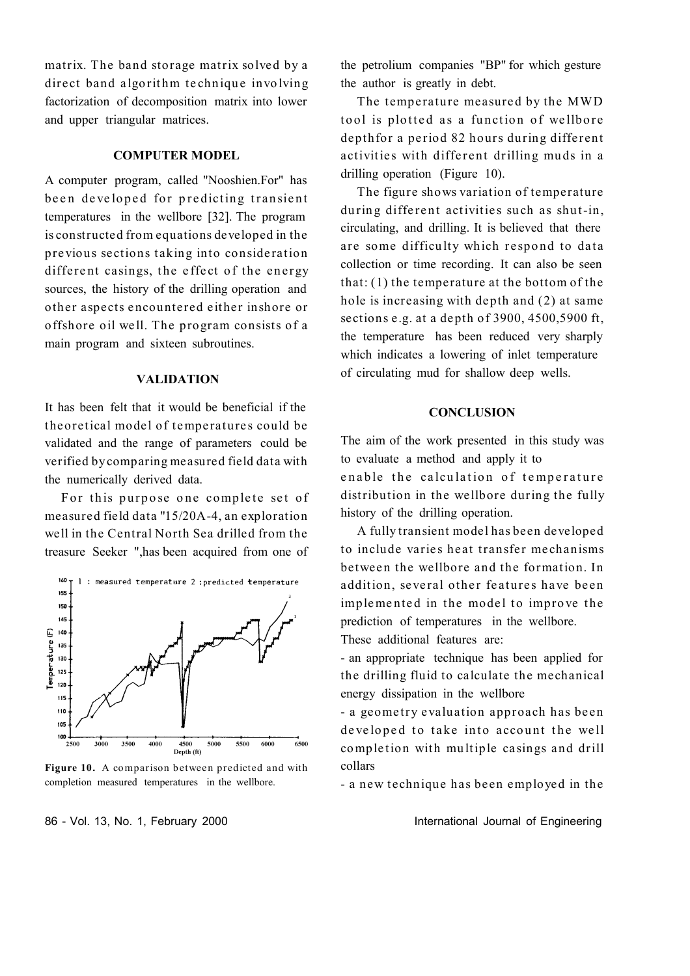matrix. The band storage matrix solved by a direct band algorithm technique involving factorization of decomposition matrix into lower and upper triangular matrices.

#### **COMPUTER MODEL**

A computer program, called "Nooshien.For" has been developed for predicting transient temperatures in the wellbore [32]. The program is constructed from equations developed in the previous sections taking into consideration different casings, the effect of the energy sources, the history of the drilling operation and other aspects encountered either inshore or offshore oil well. The program consists of a main program and sixteen subroutines.

#### **VALIDATION**

It has been felt that it would be beneficial if the theoretical model of temperatures could be validated and the range of parameters could be verified by comparing measu red field data with the numerically derived data.

For this purpose one complete set of measured field data "15/20A-4, an exploration well in the Central North Sea drilled from the treasure Seeker ",has been acquired from one of



Figure 10. A comparison between predicted and with completion measured temperatures in the wellbore.

the petrolium companies "BP" for which gesture the author is greatly in debt.

The temperature measured by the MWD tool is plotted as a function of wellbore depthfor a period 82 hours during different activities with different drilling muds in a drilling operation (Figure 10).

The figure shows variation of temperature during different activities such as shut-in, circulating, and drilling. It is believed that there are some difficulty which respond to data collection or time recording. It can also be seen that: (1) the temperature at the bottom of the hole is increasing with depth and (2) at same sections e.g. at a depth of  $3900, 4500, 5900$  ft, the temperature has been reduced very sharply which indicates a lowering of inlet temperature of circulating mud for shallow deep wells.

### **CONCLUSION**

The aim of the work presented in this study was to evaluate a method and apply it to enable the calculation of temperature distribution in the wellbore during the fully history of the drilling operation.

A fully transient model has been developed to include varies heat transfer mechanisms between the wellbore and the formation. In addition, several other features have been implemented in the model to improve the prediction of temperatures in the wellbore. These additional features are:

- an appropriate technique has been applied for the drilling fluid to calculate the mechanical energy dissipation in the wellbore

- a geometry evaluation approach has been developed to take into account the well completion with multiple casings and drill collars

- a new technique has been employed in the

86 - Vol. 13, No. 1, February 2000 **International Journal of Engineering**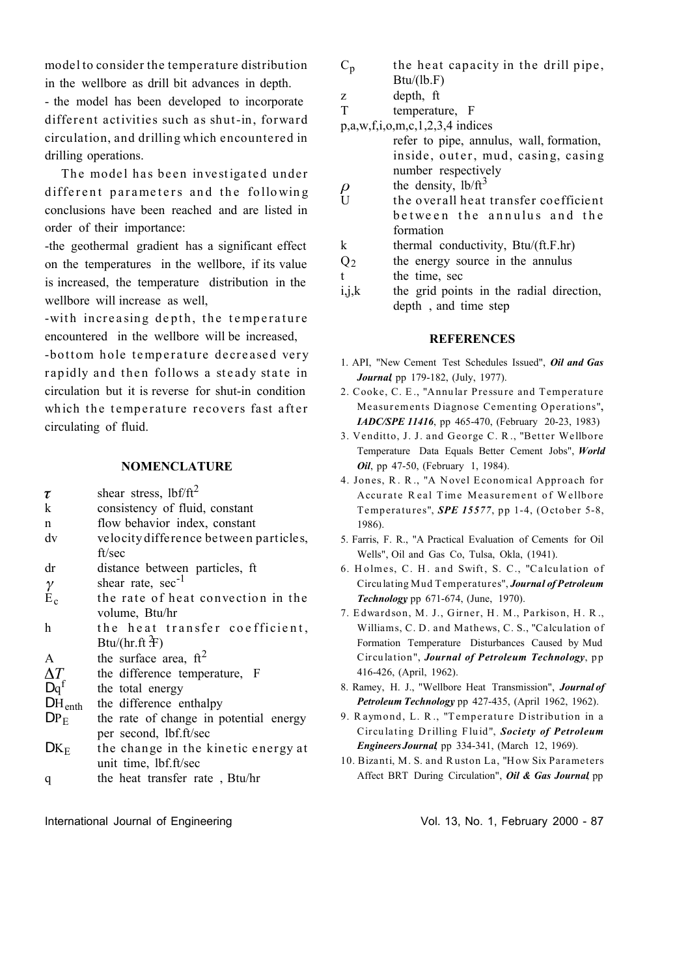model to consider the temperature distribution in the wellbore as drill bit advances in depth.

- the model has been developed to incorporate different activities such as shut-in, forward circulation, and drilling which encountered in drilling operations.

The model has been investigated under different parameters and the following conclusions have been reached and are listed in order of their importance:

-the geothermal gradient has a significant effect on the temperatures in the wellbore, if its value is increased, the temperature distribution in the wellbore will increase as well,

-with increasing depth, the temperature encountered in the wellbore will be increased,

-bottom hole temperature decreased very rapidly and then follows a steady state in circulation but it is reverse for shut-in condition which the temperature recovers fast after circulating of fluid.

# **NOMENCLATURE**

| τ                  | shear stress, $1bf/ft^2$                         |
|--------------------|--------------------------------------------------|
| k                  | consistency of fluid, constant                   |
| n                  | flow behavior index, constant                    |
| dv                 | velocity difference between particles,<br>ft/sec |
|                    |                                                  |
| dr                 | distance between particles, ft                   |
| $\gamma$           | shear rate, sec <sup>-1</sup>                    |
| $E_c$              | the rate of heat convection in the               |
|                    | volume, Btu/hr                                   |
| h.                 | the heat transfer coefficient,                   |
|                    | Btu/(hr.ft $\frac{2}{1}$ F)                      |
| $\mathsf{A}$       | the surface area, $ft2$                          |
| $\Delta T$         | the difference temperature, F                    |
| $Dq^f$             | the total energy                                 |
| $DH_{\text{enth}}$ | the difference enthalpy                          |
| DP <sub>E</sub>    | the rate of change in potential energy           |
|                    | per second, lbf.ft/sec                           |
| $DK_E$             | the change in the kinetic energy at              |
|                    | unit time, lbf.ft/sec                            |
| q                  | the heat transfer rate, Btu/hr                   |
|                    |                                                  |

- $C_p$  the heat capacity in the drill pipe,  $Btu/(lb.F)$
- z depth, ft

T temperature, F

p,a,w,f,i,o,m,c,1,2,3,4 indices

- refer to pipe, annulus, wall, formation, inside, outer, mud, casing, casing number respectively the density,  $lb/ft^3$
- $\rho$  $U$  the overall heat transfer coefficient between the annulus and the formation
- k thermal conductivity, Btu/(ft.F.hr)
- $Q<sub>2</sub>$  the energy source in the annulus
- t the time, sec
- i,j,k the grid points in the radial direction, depth , and time step

#### **REFERENCES**

- 1. API, "New Cement Test Schedules Issued", *Oil and Gas Journal*, pp 179-182, (July, 1977).
- 2. Cooke, C. E., "Annular Pressure and Temperature Measurements Diagnose Cementing Operations", *IADC/SPE 11416*, pp 465-470, (February 20-23, 1983)
- 3. Venditto, J. J. and George C. R., "Better Wellbore Temperature Data Equals Better Cement Jobs", *World Oil*, pp 47-50, (February 1, 1984).
- 4. Jones, R. R., "A Novel Economical Approach for Accurate Real Time Measurement of Wellbore Temperatures", *SPE 15577*, pp 1-4, (October 5-8, 1986).
- 5. Farris, F. R., "A Practical Evaluation of Cements for Oil Wells", Oil and Gas Co, Tulsa, Okla, (1941).
- 6. Holmes, C. H. and Swift, S. C., "Calculation of Circulating Mud Temperatu res", *Journal of Petroleum Technology*, pp 671-674, (June, 1970).
- 7. Edwardson, M. J., Girner, H. M., Parkison, H. R., Williams, C. D. and Mathews, C. S., "Calculation of Formation Temperature Disturbances Caused by Mud Circulation", *Journal of Petroleum Technology*, pp 416-426, (April, 1962).
- 8. Ramey, H. J., "Wellbore Heat Transmission", *Journal of Petroleum Technology*, pp 427-435, (April 1962, 1962).
- 9. Raymond, L. R., "Temperature Distribution in a Cir cu latin g D rillin g Flu id ", *Society of Petroleum Engineers Journal*, pp 334-341, (March 12, 1969).
- 10. Bizanti, M. S. and Ruston La, "How Six Parameters Affect BRT During Circulation", *Oil & Gas Journal*, pp

International Journal of Engineering Theorem 2000 - 87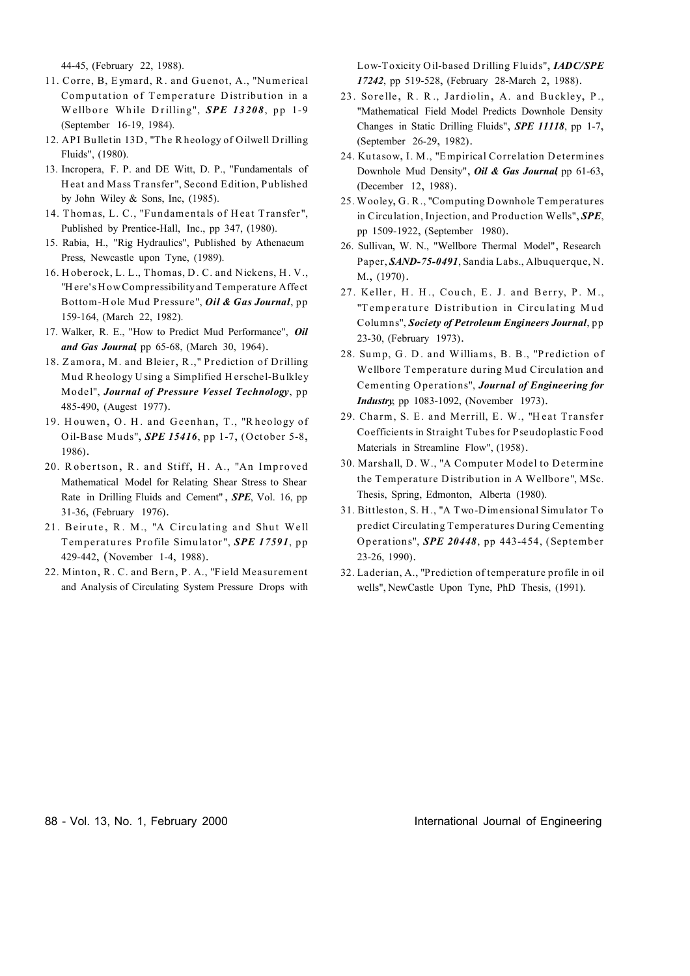44-45, (February 22, 1988).

- 11. Corre, B, Eymard, R. and Guenot, A., "Numerical Computation of Temperature Distribution in a Wellbore While Drilling", SPE 13208, pp 1-9 (September 16-19, 1984).
- 12. API Bulletin 13D, "The Rheology of Oilwell Drilling Fluids", (1980).
- 13. Incropera, F. P. and DE Witt, D. P., "Fundamentals of Heat and Mass Transfer", Second Edition, Published by John Wiley & Sons, Inc,  $(1985)$ .
- 14. Thomas, L. C., "Fundamentals of Heat Transfer", Published by Prentice-Hall, Inc., pp 347, (1980).
- 15. Rabia, H., "Rig Hydraulics", Published by Athenaeum Press, Newcastle upon Tyne, (1989).
- 16. Hoberock, L. L., Thomas, D. C. and Nickens, H. V., "Here's How Compressibility and Temperature Affect Bottom-Hole Mud Pressure", *Oil & Gas Journal*, pp 159-164, (March 22, 1982).
- 17. Walker, R. E., "How to Predict Mud Performance", Oil and Gas Journal pp 65-68, (March 30, 1964).
- 18. Zamora, M. and Bleier, R.," Prediction of Drilling Mud Rheology Using a Simplified Herschel-Bulkley Model", Journal of Pressure Vessel Technology, pp 485-490, (Augest 1977).
- 19. Houwen, O. H. and Geenhan, T., "Rheology of Oil-Base Muds", SPE 15416, pp 1-7, (October 5-8, 1986).
- 20. Robertson, R. and Stiff, H. A., "An Improved Mathematical Model for Relating Shear Stress to Shear Rate in Drilling Fluids and Cement", SPE, Vol. 16, pp 31-36, (February 1976).
- 21. Beirute, R. M., "A Circulating and Shut Well Temperatures Profile Simulator", SPE 17591, pp 429-442, (November 1-4, 1988).
- 22. Minton, R. C. and Bern, P. A., "Field Measurement and Analysis of Circulating System Pressure Drops with

Low-Toxicity Oil-based Drilling Fluids", IADC/SPE 17242, pp 519-528, (February 28-March 2, 1988).

- 23. Sorelle, R. R., Jardiolin, A. and Buckley, P., "Mathematical Field Model Predicts Downhole Density Changes in Static Drilling Fluids", SPE 11118, pp 1-7, (September 26-29, 1982).
- 24. Kutasow, I. M., "Empirical Correlation Determines Downhole Mud Density", Oil & Gas Journal, pp 61-63, (December 12, 1988).
- 25. Wooley, G. R., "Computing Downhole Temperatures" in Circulation, Injection, and Production Wells", SPE, pp 1509-1922, (September 1980).
- 26. Sullivan, W. N., "Wellbore Thermal Model", Research Paper, SAND-75-0491, Sandia Labs., Albuquerque, N. M., (1970).
- 27. Keller, H. H., Couch, E. J. and Berry, P. M., "Temperature Distribution in Circulating Mud Columns", Society of Petroleum Engineers Journal, pp 23-30, (February 1973).
- 28. Sump, G. D. and Williams, B. B., "Prediction of Wellbore Temperature during Mud Circulation and Cementing Operations", Journal of Engineering for **Industry**, pp. 1083-1092, (November 1973).
- 29. Charm, S. E. and Merrill, E. W., "Heat Transfer Coefficients in Straight Tubes for Pseudoplastic Food Materials in Streamline Flow", (1958).
- 30. Marshall, D. W., "A Computer Model to Determine the Temperature Distribution in A Wellbore", MSc. Thesis, Spring, Edmonton, Alberta (1980).
- 31. Bittleston, S. H., "A Two-Dimensional Simulator To predict Circulating Temperatures During Cementing Operations", SPE 20448, pp 443-454, (September 23-26, 1990).
- 32. Laderian, A., "Prediction of temperature profile in oil wells", NewCastle Upon Tyne, PhD Thesis, (1991).

88 - Vol. 13, No. 1, February 2000